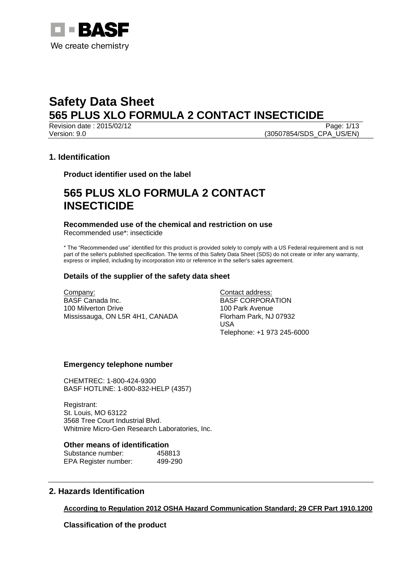

Revision date : 2015/02/12 Page: 1/13 Version: 9.0 (30507854/SDS\_CPA\_US/EN)

## **1. Identification**

**Product identifier used on the label**

## **565 PLUS XLO FORMULA 2 CONTACT INSECTICIDE**

**Recommended use of the chemical and restriction on use** Recommended use\*: insecticide

\* The "Recommended use" identified for this product is provided solely to comply with a US Federal requirement and is not part of the seller's published specification. The terms of this Safety Data Sheet (SDS) do not create or infer any warranty, express or implied, including by incorporation into or reference in the seller's sales agreement.

## **Details of the supplier of the safety data sheet**

Company: BASF Canada Inc. 100 Milverton Drive Mississauga, ON L5R 4H1, CANADA Contact address: BASF CORPORATION 100 Park Avenue Florham Park, NJ 07932 USA Telephone: +1 973 245-6000

## **Emergency telephone number**

CHEMTREC: 1-800-424-9300 BASF HOTLINE: 1-800-832-HELP (4357)

Registrant: St. Louis, MO 63122 3568 Tree Court Industrial Blvd. Whitmire Micro-Gen Research Laboratories, Inc.

### **Other means of identification**

| Substance number:    | 458813  |
|----------------------|---------|
| EPA Register number: | 499-290 |

## **2. Hazards Identification**

## **According to Regulation 2012 OSHA Hazard Communication Standard; 29 CFR Part 1910.1200**

**Classification of the product**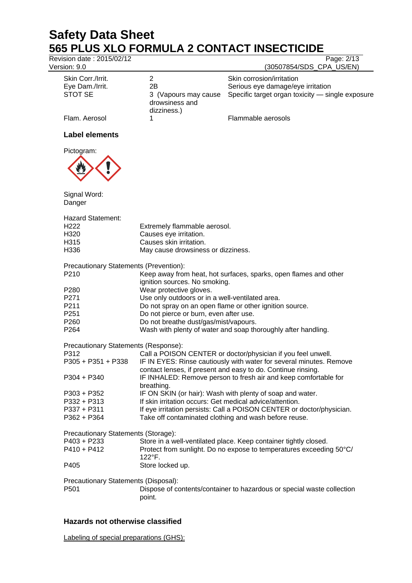Revision date : 2015/02/12 Page: 2/13

Version: 9.0 (30507854/SDS CPA US/EN)

| Skin Corr./Irrit.<br>Eye Dam./Irrit. | 2Β                                                     | Skin corrosion/irritation<br>Serious eye damage/eye irritation |
|--------------------------------------|--------------------------------------------------------|----------------------------------------------------------------|
| STOT SE                              | 3 (Vapours may cause)<br>drowsiness and<br>dizziness.) | Specific target organ toxicity - single exposure               |
| Flam. Aerosol                        |                                                        | Flammable aerosols                                             |
| Label elements                       |                                                        |                                                                |
| Pictogram:                           |                                                        |                                                                |



Signal Word: Danger

| <b>Hazard Statement:</b> |                                    |
|--------------------------|------------------------------------|
| H <sub>222</sub>         | Extremely flammable aerosol.       |
| H320                     | Causes eye irritation.             |
| H315                     | Causes skin irritation.            |
| H336                     | May cause drowsiness or dizziness. |

Precautionary Statements (Prevention):

- P210 Keep away from heat, hot surfaces, sparks, open flames and other ignition sources. No smoking.
- P280 Wear protective gloves.
- P271 Use only outdoors or in a well-ventilated area.
- P211 Do not spray on an open flame or other ignition source.<br>P251 Do not pierce or burn, even after use.
- Do not pierce or burn, even after use.
- P260 Do not breathe dust/gas/mist/vapours.<br>P264 Wash with plenty of water and soap the
	- Wash with plenty of water and soap thoroughly after handling.

Precautionary Statements (Response):

| P312                                | Call a POISON CENTER or doctor/physician if you feel unwell.          |
|-------------------------------------|-----------------------------------------------------------------------|
| P305 + P351 + P338                  | IF IN EYES: Rinse cautiously with water for several minutes. Remove   |
|                                     | contact lenses, if present and easy to do. Continue rinsing.          |
| P304 + P340                         | IF INHALED: Remove person to fresh air and keep comfortable for       |
|                                     | breathing.                                                            |
| P303 + P352                         | IF ON SKIN (or hair): Wash with plenty of soap and water.             |
| P332 + P313                         | If skin irritation occurs: Get medical advice/attention.              |
| P337 + P311                         | If eye irritation persists: Call a POISON CENTER or doctor/physician. |
| P362 + P364                         | Take off contaminated clothing and wash before reuse.                 |
| Procautionary Statements (Storage): |                                                                       |

Precautionary Statements (Storage): P403 + P233 Store in a well-ventilated place. Keep container tightly closed.

| P403 + P233 | Store in a well-vehillated place. Keep container tightly closed.    |
|-------------|---------------------------------------------------------------------|
| P410 + P412 | Protect from sunlight. Do no expose to temperatures exceeding 50°C/ |
|             | $122^{\circ}F$                                                      |
| P405        | Store locked up.                                                    |

Precautionary Statements (Disposal):

P501 Dispose of contents/container to hazardous or special waste collection point.

## **Hazards not otherwise classified**

Labeling of special preparations (GHS):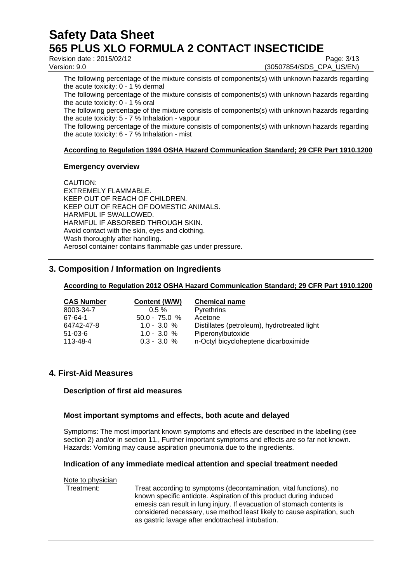Revision date : 2015/02/12 Page: 3/13

Version: 9.0 (30507854/SDS\_CPA\_US/EN)

The following percentage of the mixture consists of components(s) with unknown hazards regarding the acute toxicity: 0 - 1 % dermal

The following percentage of the mixture consists of components(s) with unknown hazards regarding the acute toxicity: 0 - 1 % oral

The following percentage of the mixture consists of components(s) with unknown hazards regarding the acute toxicity: 5 - 7 % Inhalation - vapour

The following percentage of the mixture consists of components(s) with unknown hazards regarding the acute toxicity: 6 - 7 % Inhalation - mist

## **According to Regulation 1994 OSHA Hazard Communication Standard; 29 CFR Part 1910.1200**

## **Emergency overview**

CAUTION: EXTREMELY FLAMMABLE. KEEP OUT OF REACH OF CHILDREN. KEEP OUT OF REACH OF DOMESTIC ANIMALS. HARMFUL IF SWALLOWED. HARMFUL IF ABSORBED THROUGH SKIN. Avoid contact with the skin, eyes and clothing. Wash thoroughly after handling. Aerosol container contains flammable gas under pressure.

## **3. Composition / Information on Ingredients**

## **According to Regulation 2012 OSHA Hazard Communication Standard; 29 CFR Part 1910.1200**

| <b>CAS Number</b> | Content (W/W)   | <b>Chemical name</b>                        |
|-------------------|-----------------|---------------------------------------------|
| 8003-34-7         | $0.5 \%$        | <b>Pyrethrins</b>                           |
| 67-64-1           | $50.0 - 75.0 %$ | Acetone                                     |
| 64742-47-8        | $1.0 - 3.0 %$   | Distillates (petroleum), hydrotreated light |
| $51-03-6$         | $1.0 - 3.0 %$   | Piperonylbutoxide                           |
| 113-48-4          | $0.3 - 3.0 %$   | n-Octyl bicycloheptene dicarboximide        |

## **4. First-Aid Measures**

## **Description of first aid measures**

## **Most important symptoms and effects, both acute and delayed**

Symptoms: The most important known symptoms and effects are described in the labelling (see section 2) and/or in section 11.. Further important symptoms and effects are so far not known. Hazards: Vomiting may cause aspiration pneumonia due to the ingredients.

## **Indication of any immediate medical attention and special treatment needed**

## Note to physician<br>Treatment:

Treat according to symptoms (decontamination, vital functions), no known specific antidote. Aspiration of this product during induced emesis can result in lung injury. If evacuation of stomach contents is considered necessary, use method least likely to cause aspiration, such as gastric lavage after endotracheal intubation.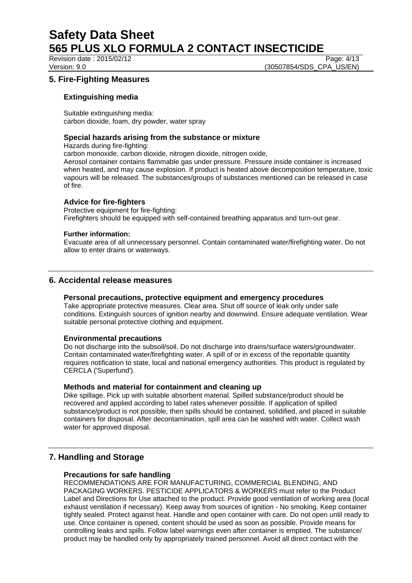Revision date : 2015/02/12 Page: 4/13

Version: 9.0 **(30507854/SDS\_CPA\_US/EN)** 

## **5. Fire-Fighting Measures**

## **Extinguishing media**

Suitable extinguishing media: carbon dioxide, foam, dry powder, water spray

## **Special hazards arising from the substance or mixture**

Hazards during fire-fighting:

carbon monoxide, carbon dioxide, nitrogen dioxide, nitrogen oxide,

Aerosol container contains flammable gas under pressure. Pressure inside container is increased when heated, and may cause explosion. If product is heated above decomposition temperature, toxic vapours will be released. The substances/groups of substances mentioned can be released in case of fire.

## **Advice for fire-fighters**

Protective equipment for fire-fighting: Firefighters should be equipped with self-contained breathing apparatus and turn-out gear.

### **Further information:**

Evacuate area of all unnecessary personnel. Contain contaminated water/firefighting water. Do not allow to enter drains or waterways.

## **6. Accidental release measures**

## **Personal precautions, protective equipment and emergency procedures**

Take appropriate protective measures. Clear area. Shut off source of leak only under safe conditions. Extinguish sources of ignition nearby and downwind. Ensure adequate ventilation. Wear suitable personal protective clothing and equipment.

### **Environmental precautions**

Do not discharge into the subsoil/soil. Do not discharge into drains/surface waters/groundwater. Contain contaminated water/firefighting water. A spill of or in excess of the reportable quantity requires notification to state, local and national emergency authorities. This product is regulated by CERCLA ('Superfund').

### **Methods and material for containment and cleaning up**

Dike spillage. Pick up with suitable absorbent material. Spilled substance/product should be recovered and applied according to label rates whenever possible. If application of spilled substance/product is not possible, then spills should be contained, solidified, and placed in suitable containers for disposal. After decontamination, spill area can be washed with water. Collect wash water for approved disposal.

## **7. Handling and Storage**

## **Precautions for safe handling**

RECOMMENDATIONS ARE FOR MANUFACTURING, COMMERCIAL BLENDING, AND PACKAGING WORKERS. PESTICIDE APPLICATORS & WORKERS must refer to the Product Label and Directions for Use attached to the product. Provide good ventilation of working area (local exhaust ventilation if necessary). Keep away from sources of ignition - No smoking. Keep container tightly sealed. Protect against heat. Handle and open container with care. Do not open until ready to use. Once container is opened, content should be used as soon as possible. Provide means for controlling leaks and spills. Follow label warnings even after container is emptied. The substance/ product may be handled only by appropriately trained personnel. Avoid all direct contact with the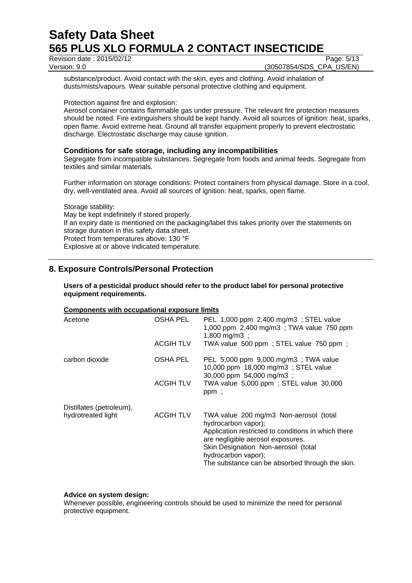Revision date : 2015/02/12 Page: 5/13<br>
Version: 9.0 (30507854/SDS\_CPA\_US/EN)

(30507854/SDS\_CPA\_US/EN)

substance/product. Avoid contact with the skin, eyes and clothing. Avoid inhalation of dusts/mists/vapours. Wear suitable personal protective clothing and equipment.

Protection against fire and explosion:

Aerosol container contains flammable gas under pressure. The relevant fire protection measures should be noted. Fire extinguishers should be kept handy. Avoid all sources of ignition: heat, sparks, open flame. Avoid extreme heat. Ground all transfer equipment properly to prevent electrostatic discharge. Electrostatic discharge may cause ignition.

## **Conditions for safe storage, including any incompatibilities**

Segregate from incompatible substances. Segregate from foods and animal feeds. Segregate from textiles and similar materials.

Further information on storage conditions: Protect containers from physical damage. Store in a cool, dry, well-ventilated area. Avoid all sources of ignition: heat, sparks, open flame.

Storage stability: May be kept indefinitely if stored properly. If an expiry date is mentioned on the packaging/label this takes priority over the statements on storage duration in this safety data sheet. Protect from temperatures above: 130 °F Explosive at or above indicated temperature.

## **8. Exposure Controls/Personal Protection**

### **Users of a pesticidal product should refer to the product label for personal protective equipment requirements.**

## **Components with occupational exposure limits**

| Acetone                                        | OSHA PEL<br><b>ACGIH TLV</b> | PEL 1,000 ppm 2,400 mg/m3 ; STEL value<br>1,000 ppm 2,400 mg/m3; TWA value 750 ppm<br>1,800 mg/m3 ;<br>TWA value 500 ppm; STEL value 750 ppm;                                                                                                                              |
|------------------------------------------------|------------------------------|----------------------------------------------------------------------------------------------------------------------------------------------------------------------------------------------------------------------------------------------------------------------------|
| carbon dioxide                                 | OSHA PEL                     | PEL 5,000 ppm 9,000 mg/m3 ; TWA value<br>10,000 ppm 18,000 mg/m3; STEL value<br>30,000 ppm 54,000 mg/m3 ;                                                                                                                                                                  |
|                                                | <b>ACGIH TLV</b>             | TWA value 5,000 ppm; STEL value 30,000<br>ppm;                                                                                                                                                                                                                             |
| Distillates (petroleum),<br>hydrotreated light | ACGIH TLV                    | TWA value 200 mg/m3 Non-aerosol (total<br>hydrocarbon vapor);<br>Application restricted to conditions in which there<br>are negligible aerosol exposures.<br>Skin Designation Non-aerosol (total<br>hydrocarbon vapor);<br>The substance can be absorbed through the skin. |

## **Advice on system design:**

Whenever possible, engineering controls should be used to minimize the need for personal protective equipment.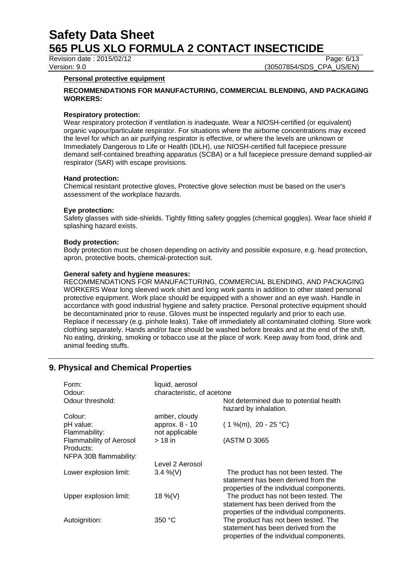Revision date : 2015/02/12 Page: 6/13<br>
Version: 9.0 (30507854/SDS\_CPA\_US/EN) (30507854/SDS\_CPA\_US/EN)

### **Personal protective equipment**

### **RECOMMENDATIONS FOR MANUFACTURING, COMMERCIAL BLENDING, AND PACKAGING WORKERS:**

### **Respiratory protection:**

Wear respiratory protection if ventilation is inadequate. Wear a NIOSH-certified (or equivalent) organic vapour/particulate respirator. For situations where the airborne concentrations may exceed the level for which an air purifying respirator is effective, or where the levels are unknown or Immediately Dangerous to Life or Health (IDLH), use NIOSH-certified full facepiece pressure demand self-contained breathing apparatus (SCBA) or a full facepiece pressure demand supplied-air respirator (SAR) with escape provisions.

### **Hand protection:**

Chemical resistant protective gloves, Protective glove selection must be based on the user's assessment of the workplace hazards.

### **Eye protection:**

Safety glasses with side-shields. Tightly fitting safety goggles (chemical goggles). Wear face shield if splashing hazard exists.

### **Body protection:**

Body protection must be chosen depending on activity and possible exposure, e.g. head protection, apron, protective boots, chemical-protection suit.

### **General safety and hygiene measures:**

RECOMMENDATIONS FOR MANUFACTURING, COMMERCIAL BLENDING, AND PACKAGING WORKERS Wear long sleeved work shirt and long work pants in addition to other stated personal protective equipment. Work place should be equipped with a shower and an eye wash. Handle in accordance with good industrial hygiene and safety practice. Personal protective equipment should be decontaminated prior to reuse. Gloves must be inspected regularly and prior to each use. Replace if necessary (e.g. pinhole leaks). Take off immediately all contaminated clothing. Store work clothing separately. Hands and/or face should be washed before breaks and at the end of the shift. No eating, drinking, smoking or tobacco use at the place of work. Keep away from food, drink and animal feeding stuffs.

## **9. Physical and Chemical Properties**

| Form:<br>Odour:                                                       | liquid, aerosol<br>characteristic, of acetone |                                                                                                                         |
|-----------------------------------------------------------------------|-----------------------------------------------|-------------------------------------------------------------------------------------------------------------------------|
| Odour threshold:                                                      |                                               | Not determined due to potential health<br>hazard by inhalation.                                                         |
| Colour:                                                               | amber, cloudy                                 |                                                                                                                         |
| pH value:<br>Flammability:                                            | approx. 8 - 10<br>not applicable              | $(1\%$ (m), 20 - 25 °C)                                                                                                 |
| <b>Flammability of Aerosol</b><br>Products:<br>NFPA 30B flammability: | $>18$ in                                      | (ASTM D 3065)                                                                                                           |
|                                                                       | Level 2 Aerosol                               |                                                                                                                         |
| Lower explosion limit:                                                | $3.4\%$ (V)                                   | The product has not been tested. The<br>statement has been derived from the<br>properties of the individual components. |
| Upper explosion limit:                                                | 18 %(V)                                       | The product has not been tested. The<br>statement has been derived from the<br>properties of the individual components. |
| Autoignition:                                                         | 350 °C                                        | The product has not been tested. The<br>statement has been derived from the<br>properties of the individual components. |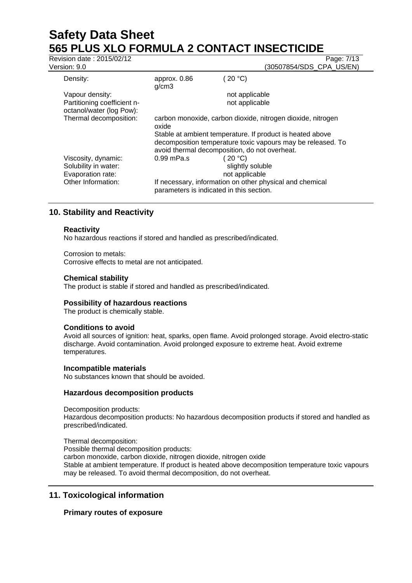# **Safety Data Sheet 565 PLUS XLO FORMULA 2 CONTACT INSECTICIDE**<br>Revision date : 2015/02/12

| Revision date: 2015/02/12                                        |                                                                      |                                               | Page: 7/13                                                  |
|------------------------------------------------------------------|----------------------------------------------------------------------|-----------------------------------------------|-------------------------------------------------------------|
| Version: 9.0                                                     |                                                                      |                                               | (30507854/SDS_CPA_US/EN)                                    |
| Density:                                                         | approx. 0.86<br>g/cm3                                                | (20 °C)                                       |                                                             |
| Vapour density:                                                  |                                                                      | not applicable                                |                                                             |
| Partitioning coefficient n-<br>octanol/water (log Pow):          |                                                                      | not applicable                                |                                                             |
| Thermal decomposition:                                           | carbon monoxide, carbon dioxide, nitrogen dioxide, nitrogen<br>oxide |                                               |                                                             |
|                                                                  |                                                                      |                                               | Stable at ambient temperature. If product is heated above   |
|                                                                  | avoid thermal decomposition, do not overheat.                        |                                               | decomposition temperature toxic vapours may be released. To |
| Viscosity, dynamic:<br>Solubility in water:<br>Evaporation rate: | $0.99$ mPa.s                                                         | (20 °C)<br>slightly soluble<br>not applicable |                                                             |
| Other Information:                                               | parameters is indicated in this section.                             |                                               | If necessary, information on other physical and chemical    |

## **10. Stability and Reactivity**

## **Reactivity**

No hazardous reactions if stored and handled as prescribed/indicated.

Corrosion to metals: Corrosive effects to metal are not anticipated.

### **Chemical stability**

The product is stable if stored and handled as prescribed/indicated.

### **Possibility of hazardous reactions**

The product is chemically stable.

### **Conditions to avoid**

Avoid all sources of ignition: heat, sparks, open flame. Avoid prolonged storage. Avoid electro-static discharge. Avoid contamination. Avoid prolonged exposure to extreme heat. Avoid extreme temperatures.

### **Incompatible materials**

No substances known that should be avoided.

## **Hazardous decomposition products**

Decomposition products: Hazardous decomposition products: No hazardous decomposition products if stored and handled as prescribed/indicated.

Thermal decomposition:

Possible thermal decomposition products:

carbon monoxide, carbon dioxide, nitrogen dioxide, nitrogen oxide

Stable at ambient temperature. If product is heated above decomposition temperature toxic vapours may be released. To avoid thermal decomposition, do not overheat.

## **11. Toxicological information**

## **Primary routes of exposure**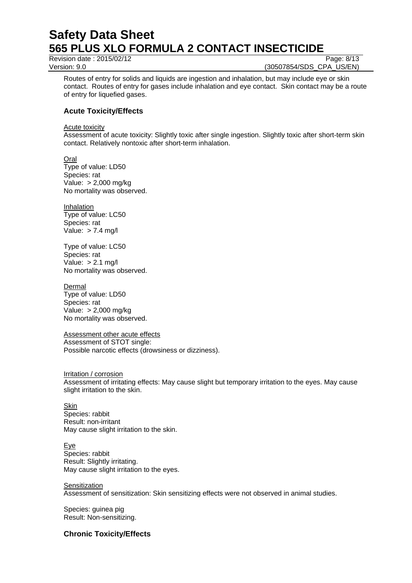Revision date : 2015/02/12 Page: 8/13

Version: 9.0 **(30507854/SDS\_CPA\_US/EN)** 

Routes of entry for solids and liquids are ingestion and inhalation, but may include eye or skin contact. Routes of entry for gases include inhalation and eye contact. Skin contact may be a route of entry for liquefied gases.

## **Acute Toxicity/Effects**

Acute toxicity

Assessment of acute toxicity: Slightly toxic after single ingestion. Slightly toxic after short-term skin contact. Relatively nontoxic after short-term inhalation.

**Oral** Type of value: LD50 Species: rat Value: > 2,000 mg/kg No mortality was observed.

Inhalation Type of value: LC50 Species: rat Value:  $> 7.4$  mg/l

Type of value: LC50 Species: rat Value: > 2.1 mg/l No mortality was observed.

No mortality was observed.

Dermal Type of value: LD50 Species: rat Value: > 2,000 mg/kg

Assessment other acute effects Assessment of STOT single: Possible narcotic effects (drowsiness or dizziness).

Irritation / corrosion Assessment of irritating effects: May cause slight but temporary irritation to the eyes. May cause slight irritation to the skin.

**Skin** Species: rabbit Result: non-irritant May cause slight irritation to the skin.

**Eye** Species: rabbit Result: Slightly irritating. May cause slight irritation to the eyes.

**Sensitization** 

Assessment of sensitization: Skin sensitizing effects were not observed in animal studies.

Species: guinea pig Result: Non-sensitizing.

## **Chronic Toxicity/Effects**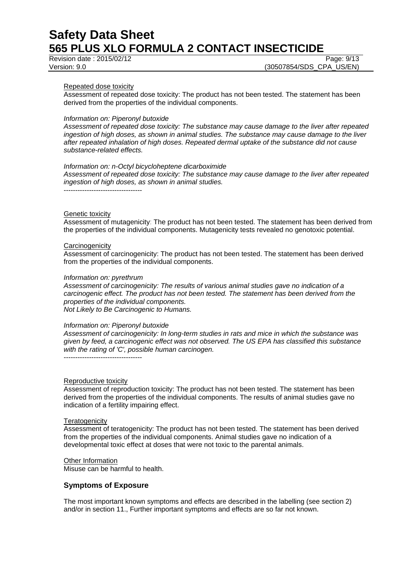Revision date : 2015/02/12 Page: 9/13

Version: 9.0 (30507854/SDS\_CPA\_US/EN)

#### Repeated dose toxicity

Assessment of repeated dose toxicity: The product has not been tested. The statement has been derived from the properties of the individual components.

#### *Information on: Piperonyl butoxide*

*Assessment of repeated dose toxicity: The substance may cause damage to the liver after repeated ingestion of high doses, as shown in animal studies. The substance may cause damage to the liver after repeated inhalation of high doses. Repeated dermal uptake of the substance did not cause substance-related effects.*

#### *Information on: n-Octyl bicycloheptene dicarboximide*

*Assessment of repeated dose toxicity: The substance may cause damage to the liver after repeated ingestion of high doses, as shown in animal studies.*

----------------------------------

#### Genetic toxicity

Assessment of mutagenicity: The product has not been tested. The statement has been derived from the properties of the individual components. Mutagenicity tests revealed no genotoxic potential.

#### **Carcinogenicity**

Assessment of carcinogenicity: The product has not been tested. The statement has been derived from the properties of the individual components.

#### *Information on: pyrethrum*

*Assessment of carcinogenicity: The results of various animal studies gave no indication of a carcinogenic effect. The product has not been tested. The statement has been derived from the properties of the individual components. Not Likely to Be Carcinogenic to Humans.*

#### *Information on: Piperonyl butoxide*

*Assessment of carcinogenicity: In long-term studies in rats and mice in which the substance was given by feed, a carcinogenic effect was not observed. The US EPA has classified this substance with the rating of 'C', possible human carcinogen.* ----------------------------------

#### Reproductive toxicity

Assessment of reproduction toxicity: The product has not been tested. The statement has been derived from the properties of the individual components. The results of animal studies gave no indication of a fertility impairing effect.

#### **Teratogenicity**

Assessment of teratogenicity: The product has not been tested. The statement has been derived from the properties of the individual components. Animal studies gave no indication of a developmental toxic effect at doses that were not toxic to the parental animals.

#### Other Information

Misuse can be harmful to health.

### **Symptoms of Exposure**

The most important known symptoms and effects are described in the labelling (see section 2) and/or in section 11., Further important symptoms and effects are so far not known.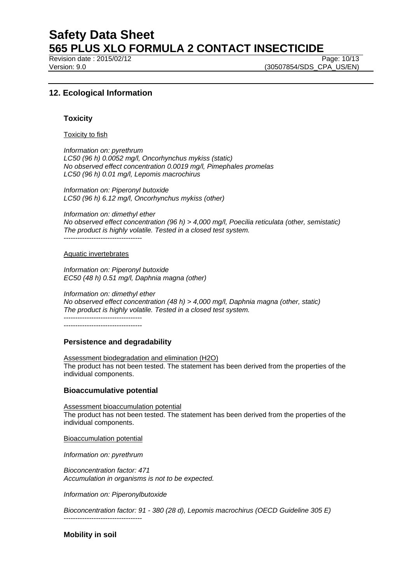Revision date : 2015/02/12 Page: 10/13

Version: 9.0 (30507854/SDS\_CPA\_US/EN)

## **12. Ecological Information**

### **Toxicity**

Toxicity to fish

*Information on: pyrethrum LC50 (96 h) 0.0052 mg/l, Oncorhynchus mykiss (static) No observed effect concentration 0.0019 mg/l, Pimephales promelas LC50 (96 h) 0.01 mg/l, Lepomis macrochirus*

*Information on: Piperonyl butoxide LC50 (96 h) 6.12 mg/l, Oncorhynchus mykiss (other)*

*Information on: dimethyl ether No observed effect concentration (96 h) > 4,000 mg/l, Poecilia reticulata (other, semistatic) The product is highly volatile. Tested in a closed test system.*

----------------------------------

#### Aquatic invertebrates

*Information on: Piperonyl butoxide EC50 (48 h) 0.51 mg/l, Daphnia magna (other)*

*Information on: dimethyl ether No observed effect concentration (48 h) > 4,000 mg/l, Daphnia magna (other, static) The product is highly volatile. Tested in a closed test system.* ---------------------------------- ----------------------------------

**Persistence and degradability**

Assessment biodegradation and elimination (H2O) The product has not been tested. The statement has been derived from the properties of the individual components.

### **Bioaccumulative potential**

Assessment bioaccumulation potential The product has not been tested. The statement has been derived from the properties of the individual components.

Bioaccumulation potential

*Information on: pyrethrum*

----------------------------------

*Bioconcentration factor: 471 Accumulation in organisms is not to be expected.*

*Information on: Piperonylbutoxide*

*Bioconcentration factor: 91 - 380 (28 d), Lepomis macrochirus (OECD Guideline 305 E)*

**Mobility in soil**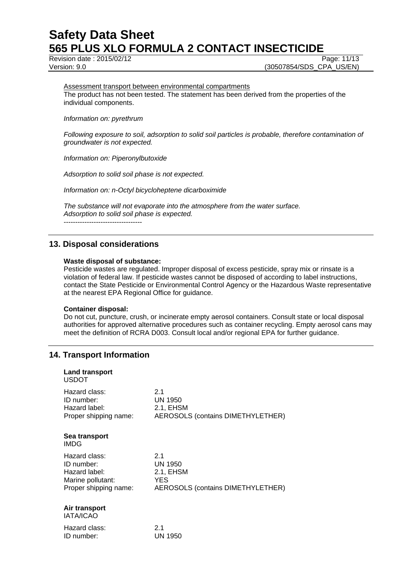Revision date : 2015/02/12 Page: 11/13

Version: 9.0 (30507854/SDS\_CPA\_US/EN)

Assessment transport between environmental compartments

The product has not been tested. The statement has been derived from the properties of the individual components.

*Information on: pyrethrum*

*Following exposure to soil, adsorption to solid soil particles is probable, therefore contamination of groundwater is not expected.*

*Information on: Piperonylbutoxide*

*Adsorption to solid soil phase is not expected.*

*Information on: n-Octyl bicycloheptene dicarboximide*

*The substance will not evaporate into the atmosphere from the water surface. Adsorption to solid soil phase is expected.* ----------------------------------

## **13. Disposal considerations**

#### **Waste disposal of substance:**

Pesticide wastes are regulated. Improper disposal of excess pesticide, spray mix or rinsate is a violation of federal law. If pesticide wastes cannot be disposed of according to label instructions, contact the State Pesticide or Environmental Control Agency or the Hazardous Waste representative at the nearest EPA Regional Office for guidance.

### **Container disposal:**

Do not cut, puncture, crush, or incinerate empty aerosol containers. Consult state or local disposal authorities for approved alternative procedures such as container recycling. Empty aerosol cans may meet the definition of RCRA D003. Consult local and/or regional EPA for further guidance.

## **14. Transport Information**

| Land transport<br><b>USDOT</b>    |                                          |
|-----------------------------------|------------------------------------------|
| Hazard class:                     | 2.1                                      |
| ID number:                        | <b>UN 1950</b>                           |
| Hazard label:                     | 2.1, EHSM                                |
| Proper shipping name:             | <b>AEROSOLS (contains DIMETHYLETHER)</b> |
| Sea transport<br>IMDG             |                                          |
| Hazard class:                     | 2.1                                      |
| ID number:                        | <b>UN 1950</b>                           |
| Hazard label:                     | 2.1, EHSM                                |
| Marine pollutant:                 | <b>YES</b>                               |
| Proper shipping name:             | <b>AEROSOLS (contains DIMETHYLETHER)</b> |
| Air transport<br><b>IATA/ICAO</b> |                                          |
| Hazard class:                     | 2.1                                      |
| ID number:                        | <b>UN 1950</b>                           |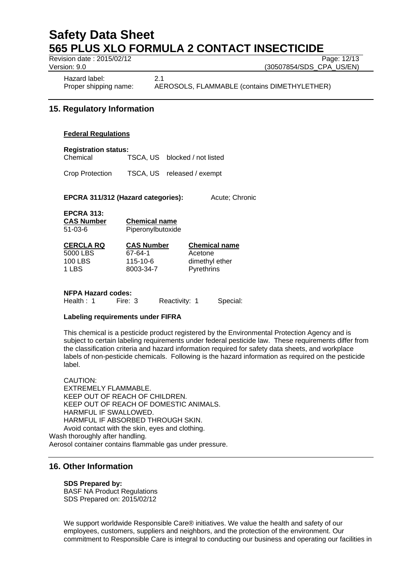Revision date : 2015/02/12 Page: 12/13

Version: 9.0 (30507854/SDS\_CPA\_US/EN)

Hazard label: 2.1

Proper shipping name: AEROSOLS, FLAMMABLE (contains DIMETHYLETHER)

## **15. Regulatory Information**

### **Federal Regulations**

**Registration status:**

Chemical TSCA, US blocked / not listed

Crop Protection TSCA, US released / exempt

**EPCRA 311/312 (Hazard categories):** Acute; Chronic

**CERCLA RQ CAS Number Chemical name**

 $\overline{67-64-1}$  Acetone 115-10-6 dimethyl ether

**EPCRA 313: CAS Number Chemical** 

| <b>CAS Number</b> | Chemical name     |  |
|-------------------|-------------------|--|
| $51 - 03 - 6$     | Piperonylbutoxide |  |

| <b>CERCLA RQ</b> | <b>CAS Number</b> | <b>Chemical</b> |
|------------------|-------------------|-----------------|
| 5000 LBS         | 67-64-1           | Acetone         |
| <b>100 LBS</b>   | 115-10-6          | dimethyl e      |
| 1 LBS            | 8003-34-7         | Pyrethrins      |

**NFPA Hazard codes:** Health : 1 Fire: 3 Reactivity: 1 Special:

## **Labeling requirements under FIFRA**

This chemical is a pesticide product registered by the Environmental Protection Agency and is subject to certain labeling requirements under federal pesticide law. These requirements differ from the classification criteria and hazard information required for safety data sheets, and workplace labels of non-pesticide chemicals. Following is the hazard information as required on the pesticide label.

CAUTION: EXTREMELY FLAMMABLE. KEEP OUT OF REACH OF CHILDREN. KEEP OUT OF REACH OF DOMESTIC ANIMALS. HARMFUL IF SWALLOWED. HARMFUL IF ABSORBED THROUGH SKIN. Avoid contact with the skin, eyes and clothing. Wash thoroughly after handling. Aerosol container contains flammable gas under pressure.

## **16. Other Information**

### **SDS Prepared by:**

BASF NA Product Regulations SDS Prepared on: 2015/02/12

We support worldwide Responsible Care® initiatives. We value the health and safety of our employees, customers, suppliers and neighbors, and the protection of the environment. Our commitment to Responsible Care is integral to conducting our business and operating our facilities in